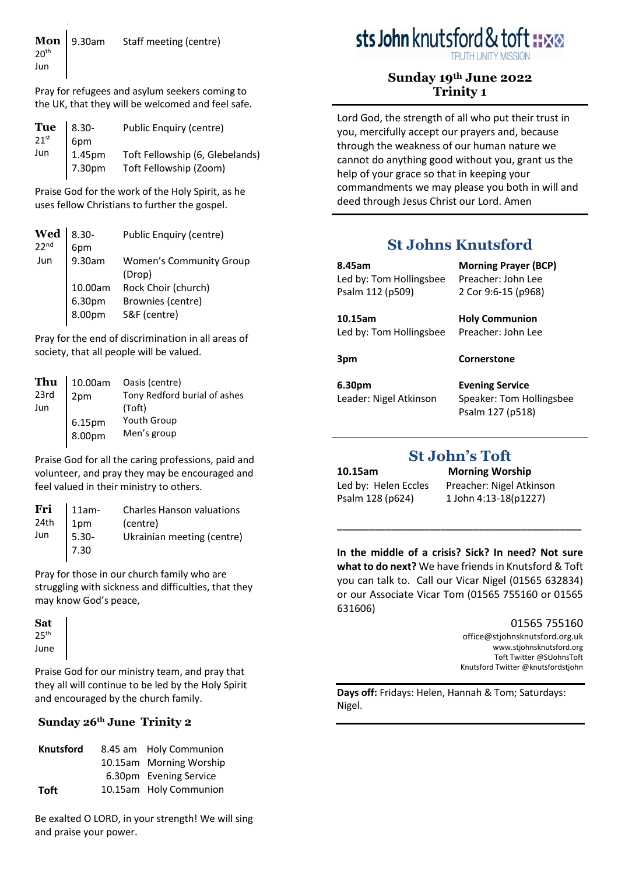Pray for refugees and asylum seekers coming to the UK, that they will be welcomed and feel safe.

| <b>Tue</b> 8.30-<br>$21$ <sup>st</sup> | 6pm              | Public Enquiry (centre)                                   |
|----------------------------------------|------------------|-----------------------------------------------------------|
| Jun                                    | 1.45pm<br>7.30pm | Toft Fellowship (6, Glebelands)<br>Toft Fellowship (Zoom) |

Praise God for the work of the Holy Spirit, as he uses fellow Christians to further the gospel.

|                             | Public Enquiry (centre)                                             |
|-----------------------------|---------------------------------------------------------------------|
|                             | <b>Women's Community Group</b><br>(Drop)                            |
| 10.00am<br>6.30pm<br>8.00pm | Rock Choir (church)<br>Brownies (centre)<br>S&F (centre)            |
|                             | $\mathbf{Wed}$ <sub>22<sup>nd</sup></sub><br>8.30-<br>6pm<br>9.30am |

Pray for the end of discrimination in all areas of society, that all people will be valued.

| Thu  | 10.00am            | Oasis (centre)               |
|------|--------------------|------------------------------|
| 23rd | 2 <sub>pm</sub>    | Tony Redford burial of ashes |
| Jun  |                    | (Toft)                       |
|      |                    | <b>Youth Group</b>           |
|      | $6.15pm$<br>8.00pm | Men's group                  |

Praise God for all the caring professions, paid and volunteer, and pray they may be encouraged and feel valued in their ministry to others.

| <b>Charles Hanson valuations</b>                                                                                    |
|---------------------------------------------------------------------------------------------------------------------|
| (centre)                                                                                                            |
| Ukrainian meeting (centre)                                                                                          |
|                                                                                                                     |
| Fri $\begin{array}{ c c } \hline 11am-24th & 1pm \ \hline 1pm & 1pm \ \hline \end{array}$<br>$1pm$<br>5.30-<br>7.30 |

Pray for those in our church family who are struggling with sickness and difficulties, that they may know God's peace,

**Sat**  $25<sup>th</sup>$ June Praise God for our ministry team, and pray that they all will continue to be led by the Holy Spirit and encouraged by the church family.

#### **Sunday 26th June Trinity 2**

| <b>Knutsford</b> | 8.45 am Holy Communion  |
|------------------|-------------------------|
|                  | 10.15am Morning Worship |
|                  | 6.30pm Evening Service  |
| Toft             | 10.15am Holy Communion  |

Be exalted O LORD, in your strength! We will sing and praise your power.

# sts John knutsford & to

# **Sunday 19th June 2022 Trinity 1**

Lord God, the strength of all who put their trust in you, mercifully accept our prayers and, because through the weakness of our human nature we cannot do anything good without you, grant us the help of your grace so that in keeping your commandments we may please you both in will and deed through Jesus Christ our Lord. Amen

# **St Johns Knutsford**

| 8.45am                  | <b>Morning Prayer (BCP)</b> |
|-------------------------|-----------------------------|
| Led by: Tom Hollingsbee | Preacher: John Lee          |
| Psalm 112 (p509)        | 2 Cor 9:6-15 (p968)         |
| 10.15am                 | <b>Holy Communion</b>       |
| Led by: Tom Hollingsbee | Preacher: John Lee          |
| 3pm                     | Cornerstone                 |
|                         |                             |

**6.30pm** Leader: Nigel Atkinson **Evening Service** Speaker: Tom Hollingsbee Psalm 127 (p518)

# **St John's Toft**

**10.15am Morning Worship**

Led by: Helen Eccles Preacher: Nigel Atkinson Psalm 128 (p624) 1 John 4:13-18 (p1227)

**In the middle of a crisis? Sick? In need? Not sure what to do next?** We have friends in Knutsford & Toft you can talk to. Call our Vicar Nigel (01565 632834) or our Associate Vicar Tom (01565 755160 or 01565 631606)

**\_\_\_\_\_\_\_\_\_\_\_\_\_\_\_\_\_\_\_\_\_\_\_\_\_\_\_\_\_\_\_\_\_\_\_\_\_\_\_\_\_\_\_\_\_** 

01565 755160

[office@stjohnsknutsford.org.uk](mailto:office@stjohnsknutsford.org.uk) [www.stjohnsknutsford.org](http://www.stjohnsknutsford.org/) Toft Twitter @StJohnsToft Knutsford Twitter @knutsfordstjohn

**Days off:** Fridays: Helen, Hannah & Tom; Saturdays: Nigel.